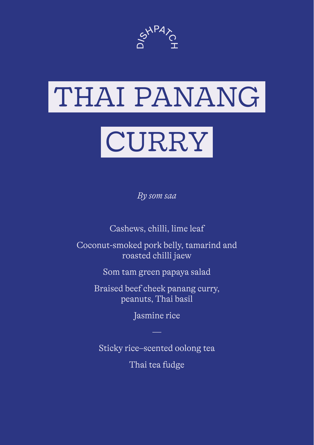

# THAI PANANG

# CURRY

*By som saa*

Cashews, chilli, lime leaf

Coconut-smoked pork belly, tamarind and roasted chilli jaew

Som tam green papaya salad

Braised beef cheek panang curry, peanuts, Thai basil

Jasmine rice

Sticky rice–scented oolong tea Thai tea fudge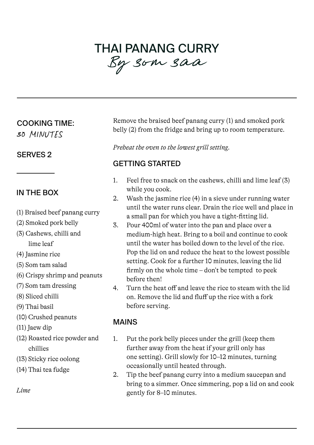# THAI PANANG CURRY *<sup>B</sup>*y som saa

#### COOKING TIME:

*30 MINUTES*

#### SERVES 2

## IN THE BOX

- (1) Braised beef panang curry
- (2) Smoked pork belly
- (3) Cashews, chilli and lime leaf
- (4) Jasmine rice
- (5) Som tam salad
- (6) Crispy shrimp and peanuts
- (7) Som tam dressing
- (8) Sliced chilli
- (9) Thai basil
- (10) Crushed peanuts
- (11) Jaew dip
- (12) Roasted rice powder and chillies
- (13) Sticky rice oolong
- (14) Thai tea fudge

*Lime* 

Remove the braised beef panang curry (1) and smoked pork belly (2) from the fridge and bring up to room temperature.

*Preheat the oven to the lowest grill setting.*

## GETTING STARTED

- 1. Feel free to snack on the cashews, chilli and lime leaf (3) while you cook.
- 2. Wash the jasmine rice (4) in a sieve under running water until the water runs clear. Drain the rice well and place in a small pan for which you have a tight-fitting lid.
- 3. Pour 400ml of water into the pan and place over a medium-high heat. Bring to a boil and continue to cook until the water has boiled down to the level of the rice. Pop the lid on and reduce the heat to the lowest possible setting. Cook for a further 10 minutes, leaving the lid firmly on the whole time – don't be tempted to peek before then!
- 4. Turn the heat off and leave the rice to steam with the lid on. Remove the lid and fluff up the rice with a fork before serving.

#### MAINS

- 1. Put the pork belly pieces under the grill (keep them further away from the heat if your grill only has one setting). Grill slowly for 10–12 minutes, turning occasionally until heated through.
- 2. Tip the beef panang curry into a medium saucepan and bring to a simmer. Once simmering, pop a lid on and cook gently for 8–10 minutes.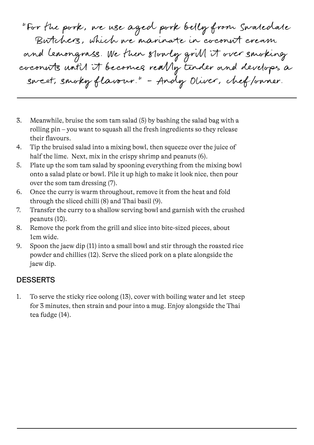"For the pork, we use aged pork belly from Swaledale Butchers, which we marinate in coconut cream and lemongrass. We then slowly grill it over smoking coconuts until it becomes really tender and develops a sweet, smoky flavour." – Andy Oliver, chef/owner.

- 3. Meanwhile, bruise the som tam salad (5) by bashing the salad bag with a rolling pin – you want to squash all the fresh ingredients so they release their flavours.
- 4. Tip the bruised salad into a mixing bowl, then squeeze over the juice of half the lime. Next, mix in the crispy shrimp and peanuts (6).
- 5. Plate up the som tam salad by spooning everything from the mixing bowl onto a salad plate or bowl. Pile it up high to make it look nice, then pour over the som tam dressing (7).
- 6. Once the curry is warm throughout, remove it from the heat and fold through the sliced chilli (8) and Thai basil (9).
- 7. Transfer the curry to a shallow serving bowl and garnish with the crushed peanuts (10).
- 8. Remove the pork from the grill and slice into bite-sized pieces, about 1cm wide.
- 9. Spoon the jaew dip (11) into a small bowl and stir through the roasted rice powder and chillies (12). Serve the sliced pork on a plate alongside the jaew dip.

#### **DESSERTS**

1. To serve the sticky rice oolong (13), cover with boiling water and let steep for 3 minutes, then strain and pour into a mug. Enjoy alongside the Thai tea fudge (14).